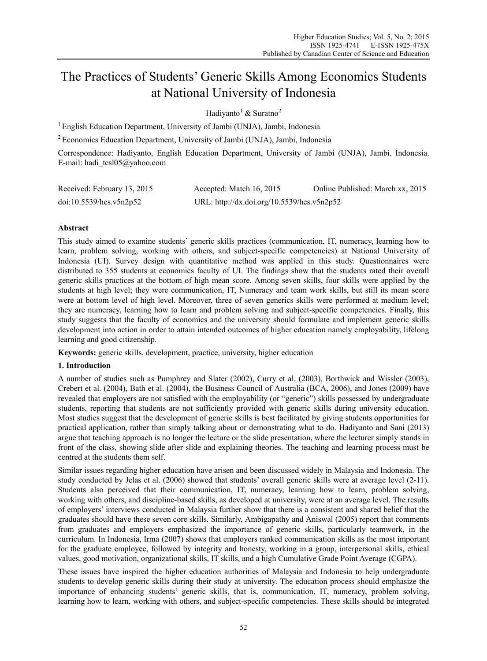# The Practices of Students' Generic Skills Among Economics Students at National University of Indonesia

Hadiyanto<sup>1</sup> & Suratno<sup>2</sup>

<sup>1</sup> English Education Department, University of Jambi (UNJA), Jambi, Indonesia

2 Economics Education Department, University of Jambi (UNJA), Jambi, Indonesia

Correspondence: Hadiyanto, English Education Department, University of Jambi (UNJA), Jambi, Indonesia. E-mail: hadi\_tesl05@yahoo.com

| Received: February 13, 2015 | Accepted: Match 16, 2015                   | Online Published: March xx, 2015 |
|-----------------------------|--------------------------------------------|----------------------------------|
| doi:10.5539/hes.v5n2p52     | URL: http://dx.doi.org/10.5539/hes.v5n2p52 |                                  |

## **Abstract**

This study aimed to examine students' generic skills practices (communication, IT, numeracy, learning how to learn, problem solving, working with others, and subject-specific competencies) at National University of Indonesia (UI). Survey design with quantitative method was applied in this study. Questionnaires were distributed to 355 students at economics faculty of UI. The findings show that the students rated their overall generic skills practices at the bottom of high mean score. Among seven skills, four skills were applied by the students at high level; they were communication, IT, Numeracy and team work skills, but still its mean score were at bottom level of high level. Moreover, three of seven generics skills were performed at medium level; they are numeracy, learning how to learn and problem solving and subject-specific competencies. Finally, this study suggests that the faculty of economics and the university should formulate and implement generic skills development into action in order to attain intended outcomes of higher education namely employability, lifelong learning and good citizenship.

**Keywords:** generic skills, development, practice, university, higher education

## **1. Introduction**

A number of studies such as Pumphrey and Slater (2002), Curry et al. (2003), Borthwick and Wissler (2003), Crebert et al. (2004), Bath et al. (2004), the Business Council of Australia (BCA, 2006), and Jones (2009) have revealed that employers are not satisfied with the employability (or "generic") skills possessed by undergraduate students, reporting that students are not sufficiently provided with generic skills during university education. Most studies suggest that the development of generic skills is best facilitated by giving students opportunities for practical application, rather than simply talking about or demonstrating what to do. Hadiyanto and Sani (2013) argue that teaching approach is no longer the lecture or the slide presentation, where the lecturer simply stands in front of the class, showing slide after slide and explaining theories. The teaching and learning process must be centred at the students them self.

Similar issues regarding higher education have arisen and been discussed widely in Malaysia and Indonesia. The study conducted by Jelas et al. (2006) showed that students' overall generic skills were at average level (2-11). Students also perceived that their communication, IT, numeracy, learning how to learn, problem solving, working with others, and discipline-based skills, as developed at university, were at an average level. The results of employers' interviews conducted in Malaysia further show that there is a consistent and shared belief that the graduates should have these seven core skills. Similarly, Ambigapathy and Aniswal (2005) report that comments from graduates and employers emphasized the importance of generic skills, particularly teamwork, in the curriculum. In Indonesia, Irma (2007) shows that employers ranked communication skills as the most important for the graduate employee, followed by integrity and honesty, working in a group, interpersonal skills, ethical values, good motivation, organizational skills, IT skills, and a high Cumulative Grade Point Average (CGPA).

These issues have inspired the higher education authorities of Malaysia and Indonesia to help undergraduate students to develop generic skills during their study at university. The education process should emphasize the importance of enhancing students' generic skills, that is, communication, IT, numeracy, problem solving, learning how to learn, working with others, and subject-specific competencies. These skills should be integrated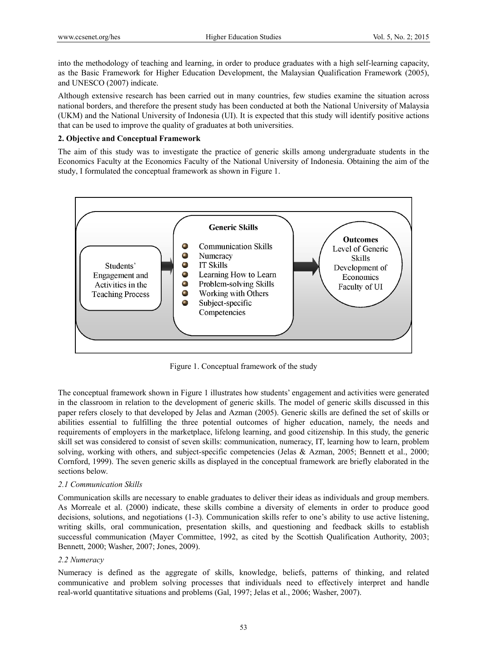into the methodology of teaching and learning, in order to produce graduates with a high self-learning capacity, as the Basic Framework for Higher Education Development, the Malaysian Qualification Framework (2005), and UNESCO (2007) indicate.

Although extensive research has been carried out in many countries, few studies examine the situation across national borders, and therefore the present study has been conducted at both the National University of Malaysia (UKM) and the National University of Indonesia (UI). It is expected that this study will identify positive actions that can be used to improve the quality of graduates at both universities.

#### **2. Objective and Conceptual Framework**

The aim of this study was to investigate the practice of generic skills among undergraduate students in the Economics Faculty at the Economics Faculty of the National University of Indonesia. Obtaining the aim of the study, I formulated the conceptual framework as shown in Figure 1.



Figure 1. Conceptual framework of the study

The conceptual framework shown in Figure 1 illustrates how students' engagement and activities were generated in the classroom in relation to the development of generic skills. The model of generic skills discussed in this paper refers closely to that developed by Jelas and Azman (2005). Generic skills are defined the set of skills or abilities essential to fulfilling the three potential outcomes of higher education, namely, the needs and requirements of employers in the marketplace, lifelong learning, and good citizenship. In this study, the generic skill set was considered to consist of seven skills: communication, numeracy, IT, learning how to learn, problem solving, working with others, and subject-specific competencies (Jelas & Azman, 2005; Bennett et al., 2000; Cornford, 1999). The seven generic skills as displayed in the conceptual framework are briefly elaborated in the sections below.

## *2.1 Communication Skills*

Communication skills are necessary to enable graduates to deliver their ideas as individuals and group members. As Morreale et al. (2000) indicate, these skills combine a diversity of elements in order to produce good decisions, solutions, and negotiations (1-3). Communication skills refer to one's ability to use active listening, writing skills, oral communication, presentation skills, and questioning and feedback skills to establish successful communication (Mayer Committee, 1992, as cited by the Scottish Qualification Authority, 2003; Bennett, 2000; Washer, 2007; Jones, 2009).

#### *2.2 Numeracy*

Numeracy is defined as the aggregate of skills, knowledge, beliefs, patterns of thinking, and related communicative and problem solving processes that individuals need to effectively interpret and handle real-world quantitative situations and problems (Gal, 1997; Jelas et al., 2006; Washer, 2007).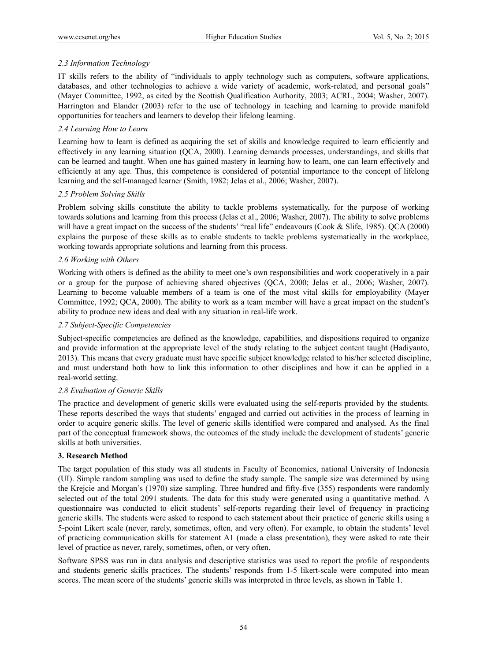# *2.3 Information Technology*

IT skills refers to the ability of "individuals to apply technology such as computers, software applications, databases, and other technologies to achieve a wide variety of academic, work-related, and personal goals" (Mayer Committee, 1992, as cited by the Scottish Qualification Authority, 2003; ACRL, 2004; Washer, 2007). Harrington and Elander (2003) refer to the use of technology in teaching and learning to provide manifold opportunities for teachers and learners to develop their lifelong learning.

# *2.4 Learning How to Learn*

Learning how to learn is defined as acquiring the set of skills and knowledge required to learn efficiently and effectively in any learning situation (QCA, 2000). Learning demands processes, understandings, and skills that can be learned and taught. When one has gained mastery in learning how to learn, one can learn effectively and efficiently at any age. Thus, this competence is considered of potential importance to the concept of lifelong learning and the self-managed learner (Smith, 1982; Jelas et al., 2006; Washer, 2007).

## *2.5 Problem Solving Skills*

Problem solving skills constitute the ability to tackle problems systematically, for the purpose of working towards solutions and learning from this process (Jelas et al., 2006; Washer, 2007). The ability to solve problems will have a great impact on the success of the students' "real life" endeavours (Cook & Slife, 1985). OCA (2000) explains the purpose of these skills as to enable students to tackle problems systematically in the workplace, working towards appropriate solutions and learning from this process.

# *2.6 Working with Others*

Working with others is defined as the ability to meet one's own responsibilities and work cooperatively in a pair or a group for the purpose of achieving shared objectives (QCA, 2000; Jelas et al., 2006; Washer, 2007). Learning to become valuable members of a team is one of the most vital skills for employability (Mayer Committee, 1992; QCA, 2000). The ability to work as a team member will have a great impact on the student's ability to produce new ideas and deal with any situation in real-life work.

## *2.7 Subject-Specific Competencies*

Subject-specific competencies are defined as the knowledge, capabilities, and dispositions required to organize and provide information at the appropriate level of the study relating to the subject content taught (Hadiyanto, 2013). This means that every graduate must have specific subject knowledge related to his/her selected discipline, and must understand both how to link this information to other disciplines and how it can be applied in a real-world setting.

## *2.8 Evaluation of Generic Skills*

The practice and development of generic skills were evaluated using the self-reports provided by the students. These reports described the ways that students' engaged and carried out activities in the process of learning in order to acquire generic skills. The level of generic skills identified were compared and analysed. As the final part of the conceptual framework shows, the outcomes of the study include the development of students' generic skills at both universities.

## **3. Research Method**

The target population of this study was all students in Faculty of Economics, national University of Indonesia (UI). Simple random sampling was used to define the study sample. The sample size was determined by using the Krejcie and Morgan's (1970) size sampling. Three hundred and fifty-five (355) respondents were randomly selected out of the total 2091 students. The data for this study were generated using a quantitative method. A questionnaire was conducted to elicit students' self-reports regarding their level of frequency in practicing generic skills. The students were asked to respond to each statement about their practice of generic skills using a 5-point Likert scale (never, rarely, sometimes, often, and very often). For example, to obtain the students' level of practicing communication skills for statement A1 (made a class presentation), they were asked to rate their level of practice as never, rarely, sometimes, often, or very often.

Software SPSS was run in data analysis and descriptive statistics was used to report the profile of respondents and students generic skills practices. The students' responds from 1-5 likert-scale were computed into mean scores. The mean score of the students' generic skills was interpreted in three levels, as shown in Table 1.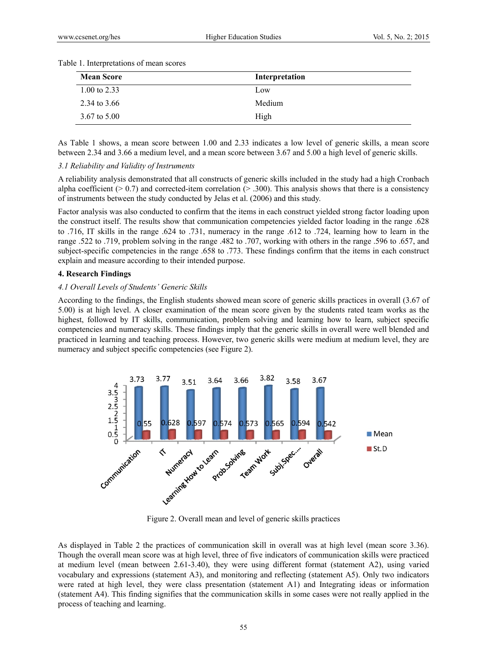| <b>Mean Score</b> | Interpretation |  |
|-------------------|----------------|--|
| 1.00 to $2.33$    | Low            |  |
| 2.34 to 3.66      | Medium         |  |
| 3.67 to 5.00      | High           |  |

Table 1. Interpretations of mean scores

As Table 1 shows, a mean score between 1.00 and 2.33 indicates a low level of generic skills, a mean score between 2.34 and 3.66 a medium level, and a mean score between 3.67 and 5.00 a high level of generic skills.

#### *3.1 Reliability and Validity of Instruments*

A reliability analysis demonstrated that all constructs of generic skills included in the study had a high Cronbach alpha coefficient ( $> 0.7$ ) and corrected-item correlation ( $> .300$ ). This analysis shows that there is a consistency of instruments between the study conducted by Jelas et al. (2006) and this study.

Factor analysis was also conducted to confirm that the items in each construct yielded strong factor loading upon the construct itself. The results show that communication competencies yielded factor loading in the range .628 to .716, IT skills in the range .624 to .731, numeracy in the range .612 to .724, learning how to learn in the range .522 to .719, problem solving in the range .482 to .707, working with others in the range .596 to .657, and subject-specific competencies in the range .658 to .773. These findings confirm that the items in each construct explain and measure according to their intended purpose.

#### **4. Research Findings**

#### *4.1 Overall Levels of Students' Generic Skills*

According to the findings, the English students showed mean score of generic skills practices in overall (3.67 of 5.00) is at high level. A closer examination of the mean score given by the students rated team works as the highest, followed by IT skills, communication, problem solving and learning how to learn, subject specific competencies and numeracy skills. These findings imply that the generic skills in overall were well blended and practiced in learning and teaching process. However, two generic skills were medium at medium level, they are numeracy and subject specific competencies (see Figure 2).



Figure 2. Overall mean and level of generic skills practices

As displayed in Table 2 the practices of communication skill in overall was at high level (mean score 3.36). Though the overall mean score was at high level, three of five indicators of communication skills were practiced at medium level (mean between 2.61-3.40), they were using different format (statement A2), using varied vocabulary and expressions (statement A3), and monitoring and reflecting (statement A5). Only two indicators were rated at high level, they were class presentation (statement A1) and Integrating ideas or information (statement A4). This finding signifies that the communication skills in some cases were not really applied in the process of teaching and learning.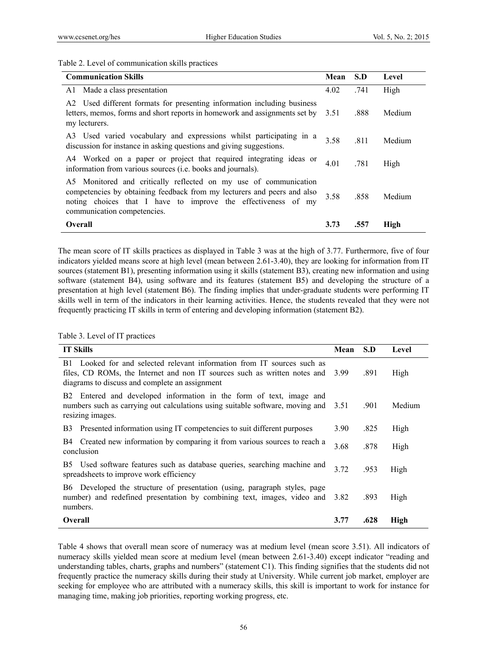Table 2. Level of communication skills practices

| <b>Communication Skills</b>                                                                                                                                                                                                                 | Mean | S.D  | Level  |
|---------------------------------------------------------------------------------------------------------------------------------------------------------------------------------------------------------------------------------------------|------|------|--------|
| Al Made a class presentation                                                                                                                                                                                                                | 4.02 | .741 | High   |
| A2 Used different formats for presenting information including business<br>letters, memos, forms and short reports in homework and assignments set by<br>my lecturers.                                                                      | 3.51 | .888 | Medium |
| A3 Used varied vocabulary and expressions whilst participating in a<br>discussion for instance in asking questions and giving suggestions.                                                                                                  | 3.58 | .811 | Medium |
| A4 Worked on a paper or project that required integrating ideas or<br>information from various sources (i.e. books and journals).                                                                                                           | 4.01 | .781 | High   |
| A5 Monitored and critically reflected on my use of communication<br>competencies by obtaining feedback from my lecturers and peers and also<br>noting choices that I have to improve the effectiveness of my<br>communication competencies. | 3.58 | .858 | Medium |
| Overall                                                                                                                                                                                                                                     | 3.73 | .557 | High   |

The mean score of IT skills practices as displayed in Table 3 was at the high of 3.77. Furthermore, five of four indicators yielded means score at high level (mean between 2.61-3.40), they are looking for information from IT sources (statement B1), presenting information using it skills (statement B3), creating new information and using software (statement B4), using software and its features (statement B5) and developing the structure of a presentation at high level (statement B6). The finding implies that under-graduate students were performing IT skills well in term of the indicators in their learning activities. Hence, the students revealed that they were not frequently practicing IT skills in term of entering and developing information (statement B2).

| Table 3. Level of IT practices |  |
|--------------------------------|--|
|--------------------------------|--|

| <b>IT Skills</b>                                                                                                                                                                                           | Mean | S.D  | Level       |
|------------------------------------------------------------------------------------------------------------------------------------------------------------------------------------------------------------|------|------|-------------|
| Looked for and selected relevant information from IT sources such as<br>B1.<br>files, CD ROMs, the Internet and non IT sources such as written notes and<br>diagrams to discuss and complete an assignment | 3.99 | .891 | High        |
| B2 Entered and developed information in the form of text, image and<br>numbers such as carrying out calculations using suitable software, moving and<br>resizing images.                                   | 3.51 | .901 | Medium      |
| Presented information using IT competencies to suit different purposes<br><b>B</b> <sub>3</sub>                                                                                                            | 3.90 | .825 | High        |
| B4 Created new information by comparing it from various sources to reach a<br>conclusion                                                                                                                   | 3.68 | .878 | High        |
| Used software features such as database queries, searching machine and<br>B5.<br>spreadsheets to improve work efficiency                                                                                   | 3.72 | .953 | High        |
| B6 Developed the structure of presentation (using, paragraph styles, page<br>number) and redefined presentation by combining text, images, video and<br>numbers.                                           | 3.82 | .893 | High        |
| <b>Overall</b>                                                                                                                                                                                             | 3.77 | .628 | <b>High</b> |

Table 4 shows that overall mean score of numeracy was at medium level (mean score 3.51). All indicators of numeracy skills yielded mean score at medium level (mean between 2.61-3.40) except indicator "reading and understanding tables, charts, graphs and numbers" (statement C1). This finding signifies that the students did not frequently practice the numeracy skills during their study at University. While current job market, employer are seeking for employee who are attributed with a numeracy skills, this skill is important to work for instance for managing time, making job priorities, reporting working progress, etc.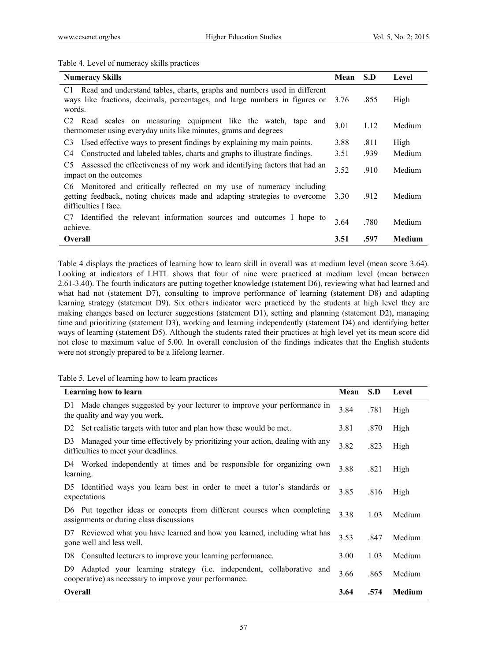Table 4. Level of numeracy skills practices

| <b>Numeracy Skills</b>                                                                                                                                                     | Mean | S.D  | Level  |
|----------------------------------------------------------------------------------------------------------------------------------------------------------------------------|------|------|--------|
| C1 Read and understand tables, charts, graphs and numbers used in different<br>ways like fractions, decimals, percentages, and large numbers in figures or                 | 3.76 | .855 | High   |
| words.                                                                                                                                                                     |      |      |        |
| C2 Read scales on measuring equipment like the watch, tape and<br>thermometer using everyday units like minutes, grams and degrees                                         | 3.01 | 1.12 | Medium |
| Used effective ways to present findings by explaining my main points.<br>C3                                                                                                | 3.88 | .811 | High   |
| Constructed and labeled tables, charts and graphs to illustrate findings.<br>C4                                                                                            | 3.51 | .939 | Medium |
| Assessed the effectiveness of my work and identifying factors that had an<br>C5<br>impact on the outcomes                                                                  | 3.52 | .910 | Medium |
| C6 Monitored and critically reflected on my use of numeracy including<br>getting feedback, noting choices made and adapting strategies to overcome<br>difficulties I face. | 3.30 | .912 | Medium |
| C7 Identified the relevant information sources and outcomes I hope to<br>achieve.                                                                                          | 3.64 | .780 | Medium |
| <b>Overall</b>                                                                                                                                                             | 3.51 | .597 | Medium |

Table 4 displays the practices of learning how to learn skill in overall was at medium level (mean score 3.64). Looking at indicators of LHTL shows that four of nine were practiced at medium level (mean between 2.61-3.40). The fourth indicators are putting together knowledge (statement D6), reviewing what had learned and what had not (statement D7), consulting to improve performance of learning (statement D8) and adapting learning strategy (statement D9). Six others indicator were practiced by the students at high level they are making changes based on lecturer suggestions (statement D1), setting and planning (statement D2), managing time and prioritizing (statement D3), working and learning independently (statement D4) and identifying better ways of learning (statement D5). Although the students rated their practices at high level yet its mean score did not close to maximum value of 5.00. In overall conclusion of the findings indicates that the English students were not strongly prepared to be a lifelong learner.

| Learning how to learn                                                                                                                 | Mean | S.D  | Level  |
|---------------------------------------------------------------------------------------------------------------------------------------|------|------|--------|
| D1 Made changes suggested by your lecturer to improve your performance in<br>the quality and way you work.                            | 3.84 | .781 | High   |
| Set realistic targets with tutor and plan how these would be met.<br>D <sub>2</sub>                                                   | 3.81 | .870 | High   |
| Managed your time effectively by prioritizing your action, dealing with any<br>D <sub>3</sub><br>difficulties to meet your deadlines. | 3.82 | .823 | High   |
| D4 Worked independently at times and be responsible for organizing own<br>learning.                                                   | 3.88 | .821 | High   |
| Identified ways you learn best in order to meet a tutor's standards or<br>D5<br>expectations                                          | 3.85 | .816 | High   |
| D6 Put together ideas or concepts from different courses when completing<br>assignments or during class discussions                   | 3.38 | 1.03 | Medium |
| Reviewed what you have learned and how you learned, including what has<br>D7<br>gone well and less well.                              | 3.53 | .847 | Medium |
| Consulted lecturers to improve your learning performance.<br>D8                                                                       | 3.00 | 1.03 | Medium |
| Adapted your learning strategy (i.e. independent, collaborative and<br>D9<br>cooperative) as necessary to improve your performance.   | 3.66 | .865 | Medium |
| Overall                                                                                                                               | 3.64 | .574 | Medium |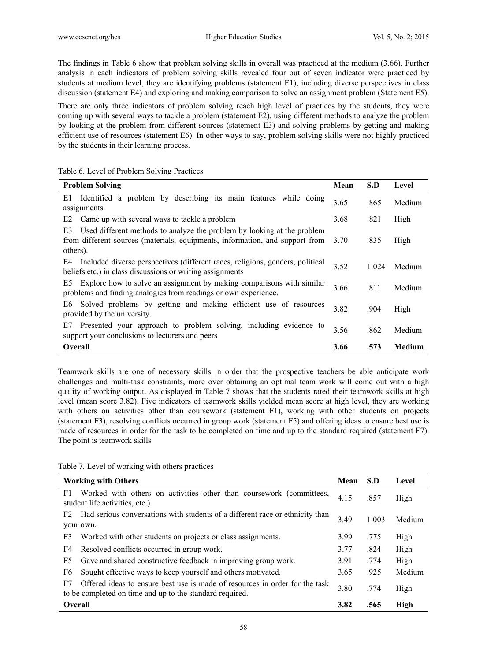The findings in Table 6 show that problem solving skills in overall was practiced at the medium (3.66). Further analysis in each indicators of problem solving skills revealed four out of seven indicator were practiced by students at medium level, they are identifying problems (statement E1), including diverse perspectives in class discussion (statement E4) and exploring and making comparison to solve an assignment problem (Statement E5).

There are only three indicators of problem solving reach high level of practices by the students, they were coming up with several ways to tackle a problem (statement E2), using different methods to analyze the problem by looking at the problem from different sources (statement E3) and solving problems by getting and making efficient use of resources (statement E6). In other ways to say, problem solving skills were not highly practiced by the students in their learning process.

Table 6. Level of Problem Solving Practices

| <b>Problem Solving</b>                                                                                                                                                    | Mean | S.D   | Level  |
|---------------------------------------------------------------------------------------------------------------------------------------------------------------------------|------|-------|--------|
| E1 Identified a problem by describing its main features while doing<br>assignments.                                                                                       | 3.65 | .865  | Medium |
| Came up with several ways to tackle a problem<br>E2                                                                                                                       | 3.68 | .821  | High   |
| Used different methods to analyze the problem by looking at the problem<br>E3<br>from different sources (materials, equipments, information, and support from<br>others). | 3.70 | .835  | High   |
| E4 Included diverse perspectives (different races, religions, genders, political<br>beliefs etc.) in class discussions or writing assignments                             | 3.52 | 1.024 | Medium |
| Explore how to solve an assignment by making comparisons with similar<br>E5<br>problems and finding analogies from readings or own experience.                            | 3.66 | .811  | Medium |
| Solved problems by getting and making efficient use of resources<br>E6.<br>provided by the university.                                                                    | 3.82 | .904  | High   |
| Presented your approach to problem solving, including evidence to<br>E7<br>support your conclusions to lecturers and peers                                                | 3.56 | .862  | Medium |
| <b>Overall</b>                                                                                                                                                            | 3.66 | .573  | Medium |

Teamwork skills are one of necessary skills in order that the prospective teachers be able anticipate work challenges and multi-task constraints, more over obtaining an optimal team work will come out with a high quality of working output. As displayed in Table 7 shows that the students rated their teamwork skills at high level (mean score 3.82). Five indicators of teamwork skills yielded mean score at high level, they are working with others on activities other than coursework (statement F1), working with other students on projects (statement F3), resolving conflicts occurred in group work (statement F5) and offering ideas to ensure best use is made of resources in order for the task to be completed on time and up to the standard required (statement F7). The point is teamwork skills

| <b>Working with Others</b>                                                                                                                    | Mean | S.D   | Level  |
|-----------------------------------------------------------------------------------------------------------------------------------------------|------|-------|--------|
| Worked with others on activities other than coursework (committees,<br>F1.<br>student life activities, etc.)                                  | 4.15 | .857  | High   |
| Had serious conversations with students of a different race or ethnicity than<br>F <sub>2</sub><br>your own.                                  | 3.49 | 1.003 | Medium |
| Worked with other students on projects or class assignments.<br>F3                                                                            | 3.99 | .775  | High   |
| Resolved conflicts occurred in group work.<br>F4                                                                                              | 3.77 | .824  | High   |
| Gave and shared constructive feedback in improving group work.<br>F5                                                                          | 3.91 | .774  | High   |
| Sought effective ways to keep yourself and others motivated.<br>F6                                                                            | 3.65 | .925  | Medium |
| Offered ideas to ensure best use is made of resources in order for the task<br>F7<br>to be completed on time and up to the standard required. | 3.80 | .774  | High   |
| <b>Overall</b>                                                                                                                                | 3.82 | .565  | High   |

Table 7. Level of working with others practices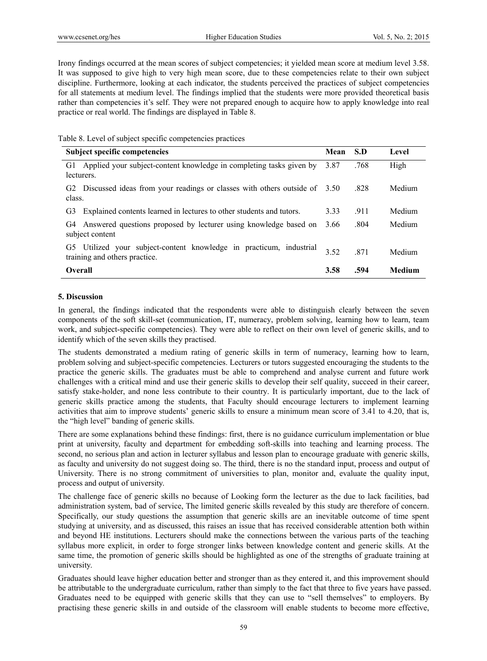Irony findings occurred at the mean scores of subject competencies; it yielded mean score at medium level 3.58. It was supposed to give high to very high mean score, due to these competencies relate to their own subject discipline. Furthermore, looking at each indicator, the students perceived the practices of subject competencies for all statements at medium level. The findings implied that the students were more provided theoretical basis rather than competencies it's self. They were not prepared enough to acquire how to apply knowledge into real practice or real world. The findings are displayed in Table 8.

Table 8. Level of subject specific competencies practices

| <b>Subject specific competencies</b>                                                                 | Mean | S.D  | Level         |
|------------------------------------------------------------------------------------------------------|------|------|---------------|
| G1 Applied your subject-content knowledge in completing tasks given by<br>lecturers.                 | 3.87 | .768 | High          |
| G2 Discussed ideas from your readings or classes with others outside of 3.50<br>class.               |      | .828 | Medium        |
| Explained contents learned in lectures to other students and tutors.<br>G <sub>3</sub>               | 3.33 | .911 | Medium        |
| G4 Answered questions proposed by lecturer using knowledge based on<br>subject content               | 3.66 | .804 | Medium        |
| G5 Utilized your subject-content knowledge in practicum, industrial<br>training and others practice. | 3.52 | 871  | Medium        |
| <b>Overall</b>                                                                                       | 3.58 | .594 | <b>Medium</b> |

#### **5. Discussion**

In general, the findings indicated that the respondents were able to distinguish clearly between the seven components of the soft skill-set (communication, IT, numeracy, problem solving, learning how to learn, team work, and subject-specific competencies). They were able to reflect on their own level of generic skills, and to identify which of the seven skills they practised.

The students demonstrated a medium rating of generic skills in term of numeracy, learning how to learn, problem solving and subject-specific competencies. Lecturers or tutors suggested encouraging the students to the practice the generic skills. The graduates must be able to comprehend and analyse current and future work challenges with a critical mind and use their generic skills to develop their self quality, succeed in their career, satisfy stake-holder, and none less contribute to their country. It is particularly important, due to the lack of generic skills practice among the students, that Faculty should encourage lecturers to implement learning activities that aim to improve students' generic skills to ensure a minimum mean score of 3.41 to 4.20, that is, the "high level" banding of generic skills.

There are some explanations behind these findings: first, there is no guidance curriculum implementation or blue print at university, faculty and department for embedding soft-skills into teaching and learning process. The second, no serious plan and action in lecturer syllabus and lesson plan to encourage graduate with generic skills, as faculty and university do not suggest doing so. The third, there is no the standard input, process and output of University. There is no strong commitment of universities to plan, monitor and, evaluate the quality input, process and output of university.

The challenge face of generic skills no because of Looking form the lecturer as the due to lack facilities, bad administration system, bad of service, The limited generic skills revealed by this study are therefore of concern. Specifically, our study questions the assumption that generic skills are an inevitable outcome of time spent studying at university, and as discussed, this raises an issue that has received considerable attention both within and beyond HE institutions. Lecturers should make the connections between the various parts of the teaching syllabus more explicit, in order to forge stronger links between knowledge content and generic skills. At the same time, the promotion of generic skills should be highlighted as one of the strengths of graduate training at university.

Graduates should leave higher education better and stronger than as they entered it, and this improvement should be attributable to the undergraduate curriculum, rather than simply to the fact that three to five years have passed. Graduates need to be equipped with generic skills that they can use to "sell themselves" to employers. By practising these generic skills in and outside of the classroom will enable students to become more effective,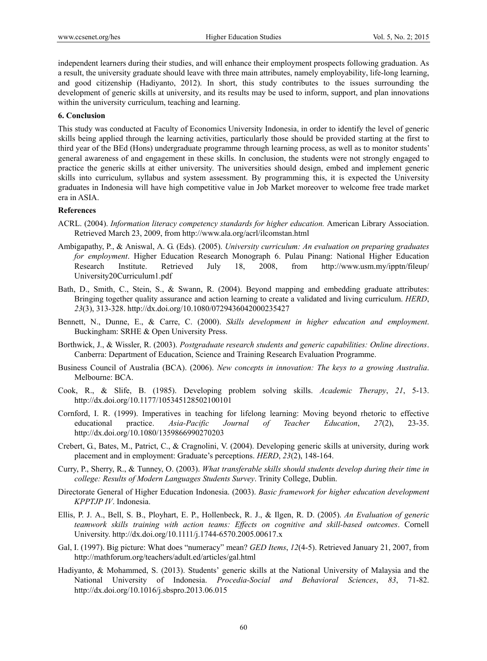independent learners during their studies, and will enhance their employment prospects following graduation. As a result, the university graduate should leave with three main attributes, namely employability, life-long learning, and good citizenship (Hadiyanto, 2012). In short, this study contributes to the issues surrounding the development of generic skills at university, and its results may be used to inform, support, and plan innovations within the university curriculum, teaching and learning.

#### **6. Conclusion**

This study was conducted at Faculty of Economics University Indonesia, in order to identify the level of generic skills being applied through the learning activities, particularly those should be provided starting at the first to third year of the BEd (Hons) undergraduate programme through learning process, as well as to monitor students' general awareness of and engagement in these skills. In conclusion, the students were not strongly engaged to practice the generic skills at either university. The universities should design, embed and implement generic skills into curriculum, syllabus and system assessment. By programming this, it is expected the University graduates in Indonesia will have high competitive value in Job Market moreover to welcome free trade market era in ASIA.

#### **References**

- ACRL. (2004). *Information literacy competency standards for higher education.* American Library Association. Retrieved March 23, 2009, from http://www.ala.org/acrl/ilcomstan.html
- Ambigapathy, P., & Aniswal, A. G. (Eds). (2005). *University curriculum: An evaluation on preparing graduates for employment*. Higher Education Research Monograph 6. Pulau Pinang: National Higher Education Research Institute. Retrieved July 18, 2008, from http://www.usm.my/ipptn/fileup/ University20Curriculum1.pdf
- Bath, D., Smith, C., Stein, S., & Swann, R. (2004). Beyond mapping and embedding graduate attributes: Bringing together quality assurance and action learning to create a validated and living curriculum. *HERD*, *23*(3), 313-328. http://dx.doi.org/10.1080/0729436042000235427
- Bennett, N., Dunne, E., & Carre, C. (2000). *Skills development in higher education and employment*. Buckingham: SRHE & Open University Press.
- Borthwick, J., & Wissler, R. (2003). *Postgraduate research students and generic capabilities: Online directions*. Canberra: Department of Education, Science and Training Research Evaluation Programme.
- Business Council of Australia (BCA). (2006). *New concepts in innovation: The keys to a growing Australia*. Melbourne: BCA.
- Cook, R., & Slife, B. (1985). Developing problem solving skills. *Academic Therapy*, *21*, 5-13. http://dx.doi.org/10.1177/105345128502100101
- Cornford, I. R. (1999). Imperatives in teaching for lifelong learning: Moving beyond rhetoric to effective educational practice. *Asia-Pacific Journal of Teacher Education*, *27*(2), 23-35. http://dx.doi.org/10.1080/1359866990270203
- Crebert, G., Bates, M., Patrict, C., & Cragnolini, V. (2004). Developing generic skills at university, during work placement and in employment: Graduate's perceptions. *HERD*, *23*(2), 148-164.
- Curry, P., Sherry, R., & Tunney, O. (2003). *What transferable skills should students develop during their time in college: Results of Modern Languages Students Survey*. Trinity College, Dublin.
- Directorate General of Higher Education Indonesia. (2003). *Basic framework for higher education development KPPTJP IV*. Indonesia.
- Ellis, P. J. A., Bell, S. B., Ployhart, E. P., Hollenbeck, R. J., & Ilgen, R. D. (2005). *An Evaluation of generic teamwork skills training with action teams: Effects on cognitive and skill-based outcomes*. Cornell University. http://dx.doi.org/10.1111/j.1744-6570.2005.00617.x
- Gal, I. (1997). Big picture: What does "numeracy" mean? *GED Items*, *12*(4-5). Retrieved January 21, 2007, from http://mathforum.org/teachers/adult.ed/articles/gal.html
- Hadiyanto, & Mohammed, S. (2013). Students' generic skills at the National University of Malaysia and the National University of Indonesia. *Procedia-Social and Behavioral Sciences*, *83*, 71-82. http://dx.doi.org/10.1016/j.sbspro.2013.06.015